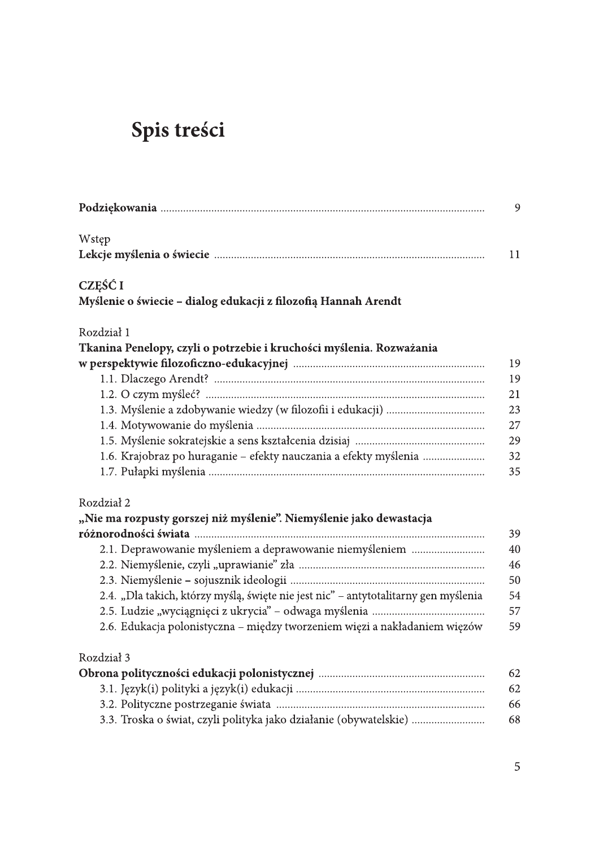# Spis treści

|                                                                                     | 9  |
|-------------------------------------------------------------------------------------|----|
| Wstęp                                                                               |    |
|                                                                                     | 11 |
| CZĘŚĆ I                                                                             |    |
| Myślenie o świecie – dialog edukacji z filozofią Hannah Arendt                      |    |
| Rozdział 1                                                                          |    |
| Tkanina Penelopy, czyli o potrzebie i kruchości myślenia. Rozważania                |    |
|                                                                                     | 19 |
|                                                                                     | 19 |
|                                                                                     | 21 |
|                                                                                     | 23 |
|                                                                                     | 27 |
|                                                                                     | 29 |
| 1.6. Krajobraz po huraganie – efekty nauczania a efekty myślenia                    | 32 |
|                                                                                     | 35 |
| Rozdział 2                                                                          |    |
| "Nie ma rozpusty gorszej niż myślenie". Niemyślenie jako dewastacja                 |    |
|                                                                                     | 39 |
| 2.1. Deprawowanie myśleniem a deprawowanie niemyśleniem                             | 40 |
|                                                                                     | 46 |
|                                                                                     | 50 |
| 2.4. "Dla takich, którzy myślą, święte nie jest nic" – antytotalitarny gen myślenia | 54 |
|                                                                                     | 57 |
| 2.6. Edukacja polonistyczna – między tworzeniem więzi a nakładaniem więzów          | 59 |
| Rozdział 3                                                                          |    |
|                                                                                     | 62 |
|                                                                                     | 62 |
|                                                                                     | 66 |
| 3.3. Troska o świat, czyli polityka jako działanie (obywatelskie)                   | 68 |
|                                                                                     |    |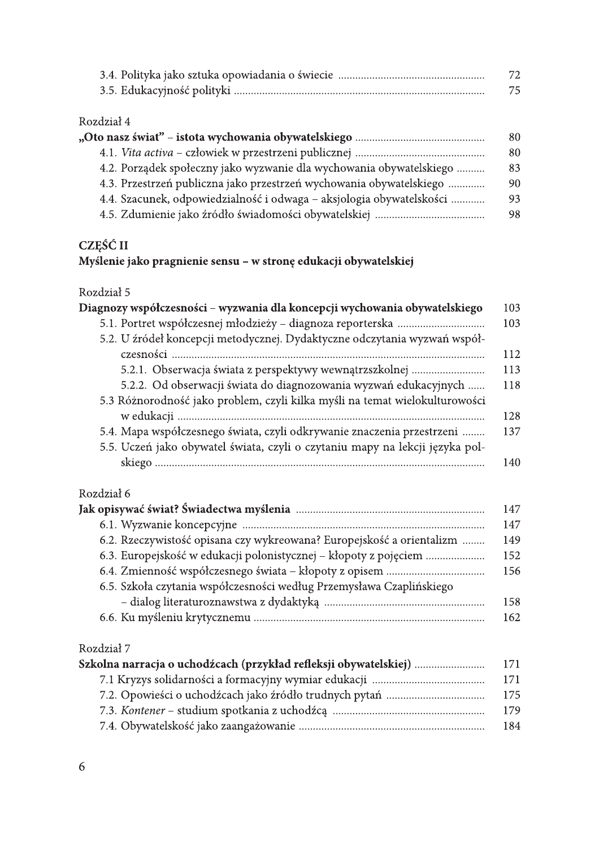| 72 |
|----|
|    |

## Rozdział 4

|                                                                      | 80 |
|----------------------------------------------------------------------|----|
|                                                                      | 80 |
| 4.2. Porządek społeczny jako wyzwanie dla wychowania obywatelskiego  | 83 |
| 4.3. Przestrzeń publiczna jako przestrzeń wychowania obywatelskiego  | 90 |
| 4.4. Szacunek, odpowiedzialność i odwaga – aksjologia obywatelskości | 93 |
|                                                                      | 98 |
|                                                                      |    |

## CZĘŚĆ II

## Myślenie jako pragnienie sensu - w stronę edukacji obywatelskiej

#### Rozdział 5

| Diagnozy współczesności - wyzwania dla koncepcji wychowania obywatelskiego   | 103 |
|------------------------------------------------------------------------------|-----|
|                                                                              | 103 |
| 5.2. U źródeł koncepcji metodycznej. Dydaktyczne odczytania wyzwań współ-    |     |
|                                                                              | 112 |
| 5.2.1. Obserwacja świata z perspektywy wewnątrzszkolnej                      | 113 |
| 5.2.2. Od obserwacji świata do diagnozowania wyzwań edukacyjnych             | 118 |
| 5.3 Różnorodność jako problem, czyli kilka myśli na temat wielokulturowości  |     |
|                                                                              | 128 |
| 5.4. Mapa współczesnego świata, czyli odkrywanie znaczenia przestrzeni       | 137 |
| 5.5. Uczeń jako obywatel świata, czyli o czytaniu mapy na lekcji języka pol- |     |
|                                                                              | 140 |
|                                                                              |     |
| Rozdział 6                                                                   |     |
|                                                                              | 147 |
|                                                                              | 147 |
| 6.2. Rzeczywistość opisana czy wykreowana? Europejskość a orientalizm        | 149 |
| 6.3. Europejskość w edukacji polonistycznej – kłopoty z pojęciem             | 152 |
|                                                                              | 156 |
| 6.5. Szkoła czytania współczesności według Przemysława Czaplińskiego         |     |
|                                                                              | 158 |
|                                                                              | 162 |
|                                                                              |     |

## Rozdział 7

| Szkolna narracja o uchodźcach (przykład refleksji obywatelskiej) | -171  |
|------------------------------------------------------------------|-------|
|                                                                  | - 171 |
|                                                                  | - 175 |
|                                                                  | 179   |
|                                                                  | 184   |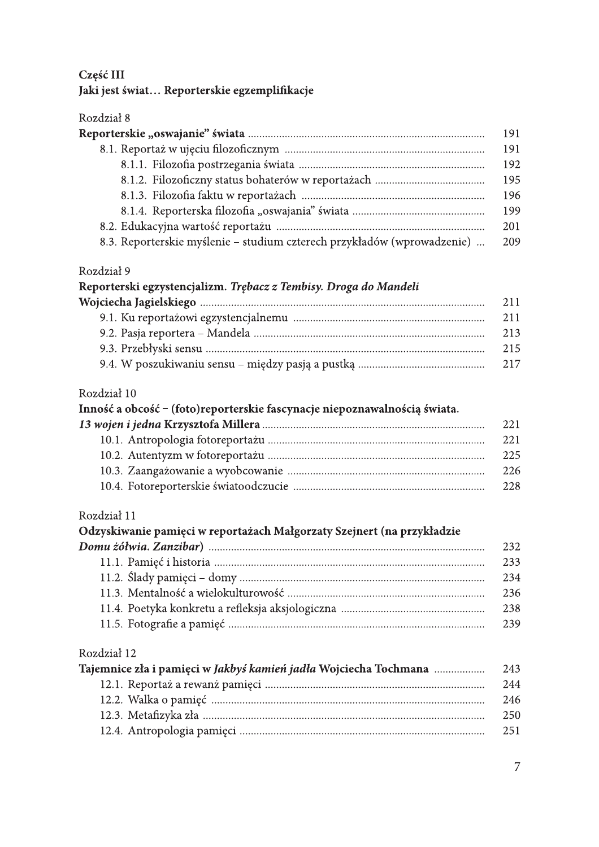## Część III

## Jaki jest świat... Reporterskie egzemplifikacje

#### Rozdział 8

|                                                                         | 191 |
|-------------------------------------------------------------------------|-----|
|                                                                         | 191 |
|                                                                         | 192 |
|                                                                         | 195 |
|                                                                         | 196 |
|                                                                         | 199 |
|                                                                         | 201 |
| 8.3. Reporterskie myślenie – studium czterech przykładów (wprowadzenie) | 209 |

#### Rozdział 9

| Reporterski egzystencjalizm. Trębacz z Tembisy. Droga do Mandeli |      |
|------------------------------------------------------------------|------|
|                                                                  | 211  |
|                                                                  | 211  |
|                                                                  | 213  |
|                                                                  | 215  |
|                                                                  | 2.17 |

## Rozdział 10

| Inność a obcość – (foto)reporterskie fascynacje niepoznawalnością świata. |      |
|---------------------------------------------------------------------------|------|
|                                                                           | 22.1 |
|                                                                           | 221  |
|                                                                           | 225  |
|                                                                           | 226  |
|                                                                           | 228  |
|                                                                           |      |

#### Rozdział 11

| Odzyskiwanie pamięci w reportażach Małgorzaty Szejnert (na przykładzie |               |
|------------------------------------------------------------------------|---------------|
|                                                                        | 232           |
|                                                                        | 233           |
|                                                                        | 234           |
|                                                                        | 236           |
|                                                                        | 238           |
|                                                                        | 239           |
| Rozdział 12                                                            |               |
| Tajemnice zła i pamięci w Jakbyś kamień jadła Wojciecha Tochmana       | 243           |
|                                                                        | 244           |
|                                                                        | $\sim$ $\sim$ |

| -246  |
|-------|
| - 250 |
| 251   |